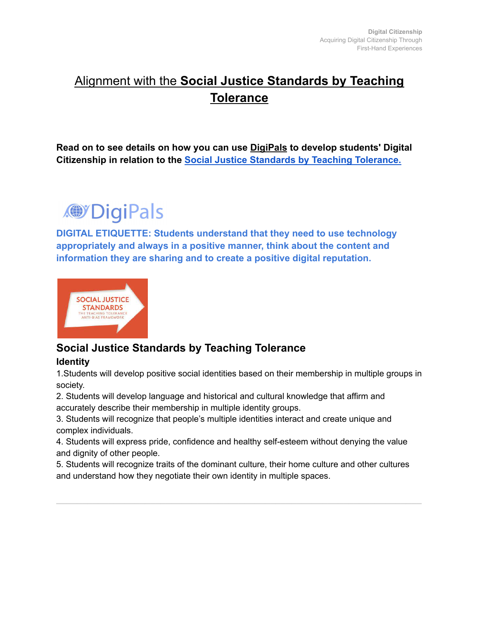## Alignment with the **Social Justice Standards by Teaching Tolerance**

**Read on to see details on how you can use DigiPals to develop students' Digital Citizenship in relation to the [Social Justice Standards](https://drive.google.com/file/d/0B-R50zaztwMWY3ljNlFObWJyR2M/view?resourcekey=0-077awZfCbut4nzkn_iU4zA) by Teaching Tolerance.**



**DIGITAL ETIQUETTE: Students understand that they need to use technology appropriately and always in a positive manner, think about the content and information they are sharing and to create a positive digital reputation.**



## **Social Justice Standards by Teaching Tolerance**

**Identity**

1.Students will develop positive social identities based on their membership in multiple groups in society.

2. Students will develop language and historical and cultural knowledge that affirm and accurately describe their membership in multiple identity groups.

3. Students will recognize that people's multiple identities interact and create unique and complex individuals.

4. Students will express pride, confidence and healthy self-esteem without denying the value and dignity of other people.

5. Students will recognize traits of the dominant culture, their home culture and other cultures and understand how they negotiate their own identity in multiple spaces.

**\_\_\_\_\_\_\_\_\_\_\_\_\_\_\_\_\_\_\_\_\_\_\_\_\_\_\_\_\_\_\_\_\_\_\_\_\_\_\_\_\_\_\_\_\_\_\_\_\_\_\_\_\_\_\_\_\_\_\_\_\_\_\_\_\_\_\_\_\_\_**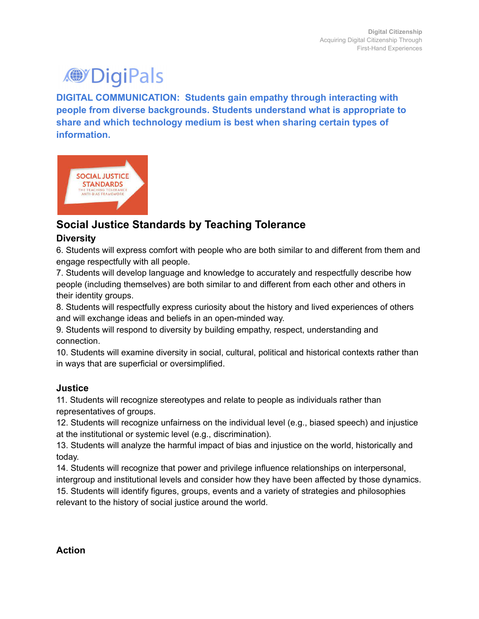# **O**'DigiPals

**DIGITAL COMMUNICATION: Students gain empathy through interacting with people from diverse backgrounds. Students understand what is appropriate to share and which technology medium is best when sharing certain types of information.**



## **Social Justice Standards by Teaching Tolerance**

#### **Diversity**

6. Students will express comfort with people who are both similar to and different from them and engage respectfully with all people.

7. Students will develop language and knowledge to accurately and respectfully describe how people (including themselves) are both similar to and different from each other and others in their identity groups.

8. Students will respectfully express curiosity about the history and lived experiences of others and will exchange ideas and beliefs in an open-minded way.

9. Students will respond to diversity by building empathy, respect, understanding and connection.

10. Students will examine diversity in social, cultural, political and historical contexts rather than in ways that are superficial or oversimplified.

#### **Justice**

11. Students will recognize stereotypes and relate to people as individuals rather than representatives of groups.

12. Students will recognize unfairness on the individual level (e.g., biased speech) and injustice at the institutional or systemic level (e.g., discrimination).

13. Students will analyze the harmful impact of bias and injustice on the world, historically and today.

14. Students will recognize that power and privilege influence relationships on interpersonal, intergroup and institutional levels and consider how they have been affected by those dynamics. 15. Students will identify figures, groups, events and a variety of strategies and philosophies relevant to the history of social justice around the world.